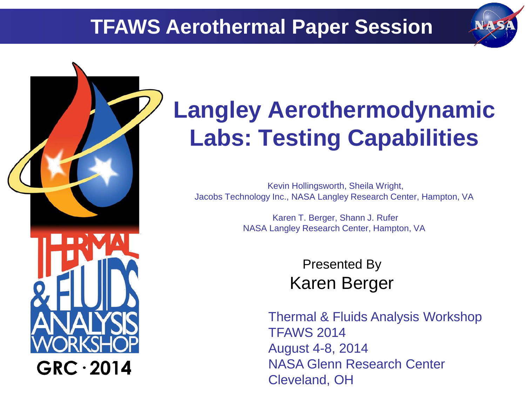# **TFAWS Aerothermal Paper Session**



# $GRC \cdot 2014$

# **Langley Aerothermodynamic Labs: Testing Capabilities**

Kevin Hollingsworth, Sheila Wright, Jacobs Technology Inc., NASA Langley Research Center, Hampton, VA

> Karen T. Berger, Shann J. Rufer NASA Langley Research Center, Hampton, VA

> > Presented By Karen Berger

Thermal & Fluids Analysis Workshop TFAWS 2014 August 4-8, 2014 NASA Glenn Research Center Cleveland, OH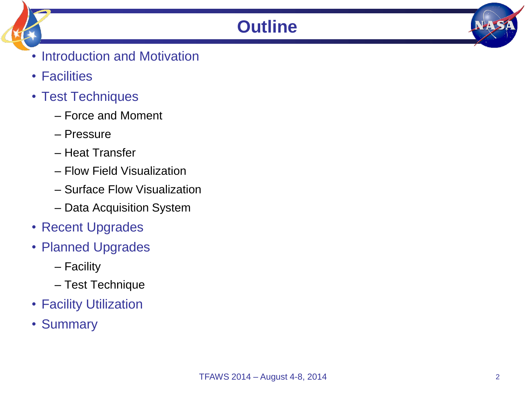## **Outline**

- Introduction and Motivation
- Facilities
- Test Techniques
	- Force and Moment
	- Pressure
	- Heat Transfer
	- Flow Field Visualization
	- Surface Flow Visualization
	- Data Acquisition System
- Recent Upgrades
- Planned Upgrades
	- Facility
	- Test Technique
- Facility Utilization
- Summary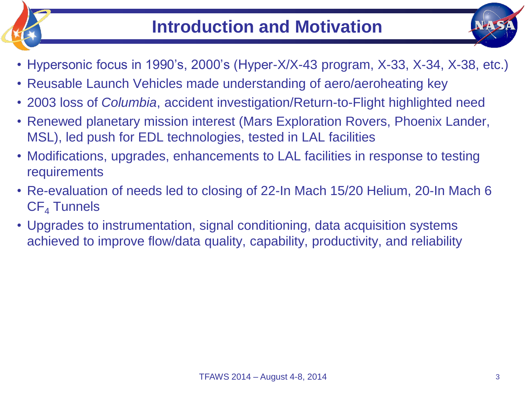



- Reusable Launch Vehicles made understanding of aero/aeroheating key
- 2003 loss of *Columbia*, accident investigation/Return-to-Flight highlighted need
- Renewed planetary mission interest (Mars Exploration Rovers, Phoenix Lander, MSL), led push for EDL technologies, tested in LAL facilities
- Modifications, upgrades, enhancements to LAL facilities in response to testing requirements
- Re-evaluation of needs led to closing of 22-In Mach 15/20 Helium, 20-In Mach 6  $CF<sub>4</sub>$  Tunnels
- Upgrades to instrumentation, signal conditioning, data acquisition systems achieved to improve flow/data quality, capability, productivity, and reliability

NH S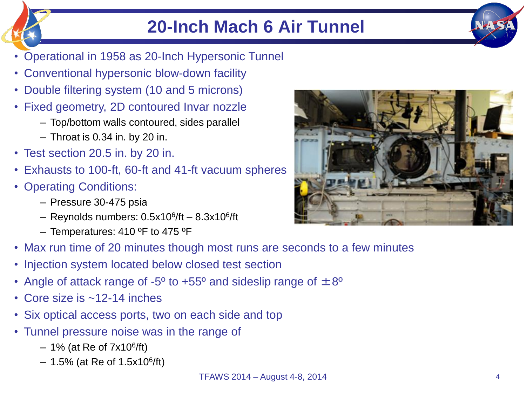# **20-Inch Mach 6 Air Tunnel**

- Operational in 1958 as 20-Inch Hypersonic Tunnel
- Conventional hypersonic blow-down facility
- Double filtering system (10 and 5 microns)
- Fixed geometry, 2D contoured Invar nozzle
	- Top/bottom walls contoured, sides parallel
	- Throat is 0.34 in. by 20 in.
- Test section 20.5 in. by 20 in.
- Exhausts to 100-ft, 60-ft and 41-ft vacuum spheres
- Operating Conditions:
	- Pressure 30-475 psia
	- Reynolds numbers: 0.5x10<sup>6</sup> /ft 8.3x10<sup>6</sup> /ft
	- Temperatures: 410 ºF to 475 ºF
- Max run time of 20 minutes though most runs are seconds to a few minutes
- Injection system located below closed test section
- Angle of attack range of -5<sup>o</sup> to +55<sup>o</sup> and sideslip range of  $\pm 8^{\circ}$
- Core size is ~12-14 inches
- Six optical access ports, two on each side and top
- Tunnel pressure noise was in the range of
	- 1% (at Re of 7x10<sup>6</sup> /ft)
	- $-$  1.5% (at Re of 1.5x10<sup>6</sup>/ft)



**NATS**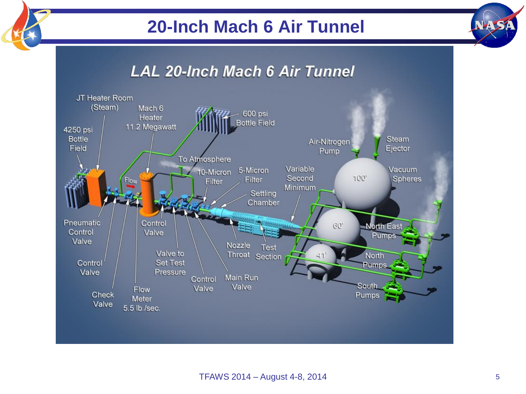# **20-Inch Mach 6 Air Tunnel**



# **LAL 20-Inch Mach 6 Air Tunnel**

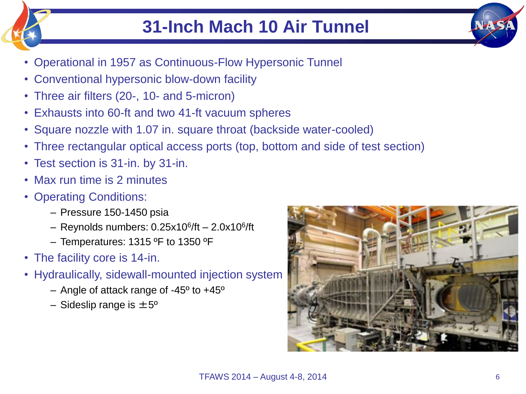

- Operational in 1957 as Continuous-Flow Hypersonic Tunnel
- Conventional hypersonic blow-down facility
- Three air filters (20-, 10- and 5-micron)
- Exhausts into 60-ft and two 41-ft vacuum spheres
- Square nozzle with 1.07 in. square throat (backside water-cooled)
- Three rectangular optical access ports (top, bottom and side of test section)
- Test section is 31-in. by 31-in.
- Max run time is 2 minutes
- Operating Conditions:
	- Pressure 150-1450 psia
	- Reynolds numbers: 0.25x10<sup>6</sup> /ft 2.0x10<sup>6</sup> /ft
	- Temperatures: 1315 ºF to 1350 ºF
- The facility core is 14-in.
- Hydraulically, sidewall-mounted injection system
	- Angle of attack range of -45º to +45º
	- Sideslip range is  $\pm 5^{\circ}$

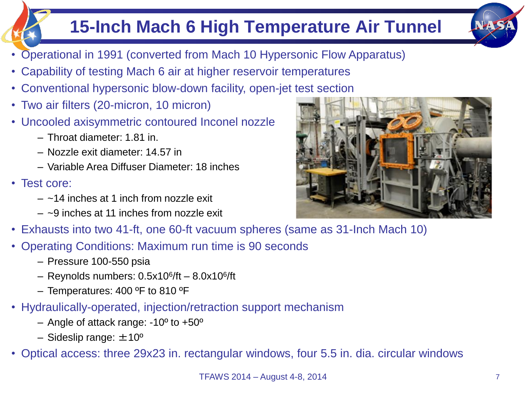# **15-Inch Mach 6 High Temperature Air Tunnel**



- Operational in 1991 (converted from Mach 10 Hypersonic Flow Apparatus)
- Capability of testing Mach 6 air at higher reservoir temperatures
- Conventional hypersonic blow-down facility, open-jet test section
- Two air filters (20-micron, 10 micron)
- Uncooled axisymmetric contoured Inconel nozzle
	- Throat diameter: 1.81 in.
	- Nozzle exit diameter: 14.57 in
	- Variable Area Diffuser Diameter: 18 inches
- Test core:
	- $-$  ~14 inches at 1 inch from nozzle exit
	- $-$  ~9 inches at 11 inches from nozzle exit
- Exhausts into two 41-ft, one 60-ft vacuum spheres (same as 31-Inch Mach 10)
- Operating Conditions: Maximum run time is 90 seconds
	- Pressure 100-550 psia
	- Reynolds numbers: 0.5x10<sup>6</sup> /ft 8.0x10<sup>6</sup> /ft
	- Temperatures: 400 ºF to 810 ºF
- Hydraulically-operated, injection/retraction support mechanism
	- Angle of attack range: -10º to +50º
	- Sideslip range:  $\pm 10^{\circ}$
- Optical access: three 29x23 in. rectangular windows, four 5.5 in. dia. circular windows

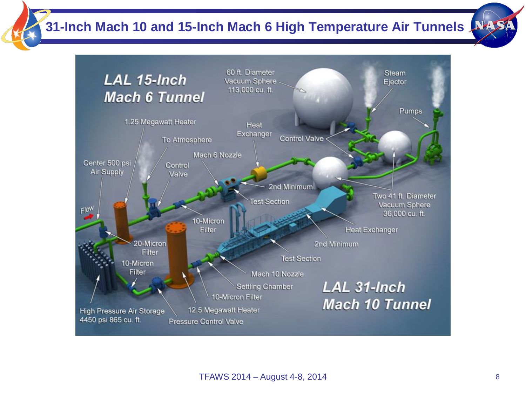**31-Inch Mach 10 and 15-Inch Mach 6 High Temperature Air Tunnels**

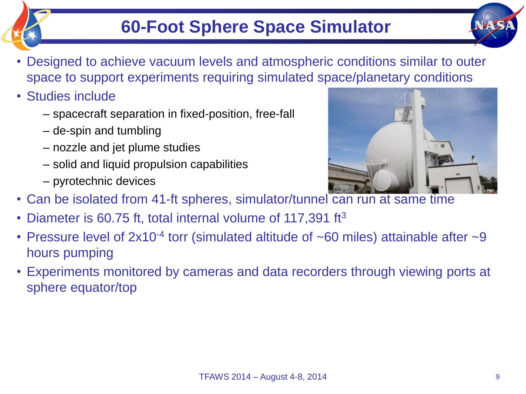# **60-Foot Sphere Space Simulator**

- Designed to achieve vacuum levels and atmospheric conditions similar to outer space to support experiments requiring simulated space/planetary conditions
- Studies include
	- spacecraft separation in fixed-position, free-fall
	- de-spin and tumbling
	- nozzle and jet plume studies
	- solid and liquid propulsion capabilities
	- pyrotechnic devices



- Can be isolated from 41-ft spheres, simulator/tunnel can run at same time
- Diameter is 60.75 ft, total internal volume of 117,391 ft<sup>3</sup>
- Pressure level of  $2x10^{-4}$  torr (simulated altitude of  $\sim 60$  miles) attainable after  $\sim 9$ hours pumping
- Experiments monitored by cameras and data recorders through viewing ports at sphere equator/top

NATS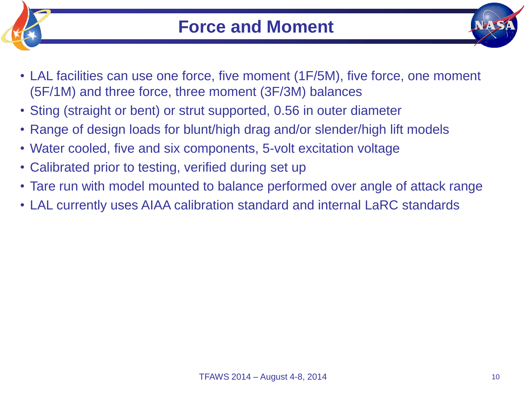



- LAL facilities can use one force, five moment (1F/5M), five force, one moment (5F/1M) and three force, three moment (3F/3M) balances
- Sting (straight or bent) or strut supported, 0.56 in outer diameter
- Range of design loads for blunt/high drag and/or slender/high lift models
- Water cooled, five and six components, 5-volt excitation voltage
- Calibrated prior to testing, verified during set up
- Tare run with model mounted to balance performed over angle of attack range
- LAL currently uses AIAA calibration standard and internal LaRC standards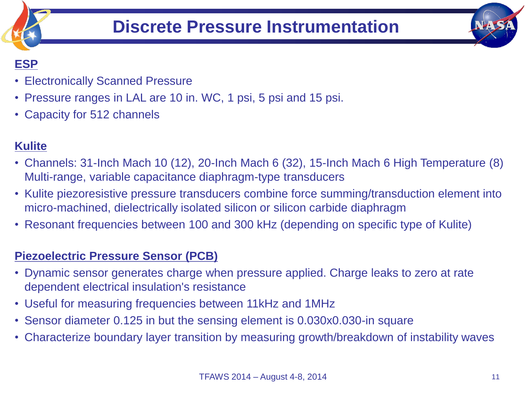

### **ESP**

- Electronically Scanned Pressure
- Pressure ranges in LAL are 10 in. WC, 1 psi, 5 psi and 15 psi.
- Capacity for 512 channels

### **Kulite**

- Channels: 31-Inch Mach 10 (12), 20-Inch Mach 6 (32), 15-Inch Mach 6 High Temperature (8) Multi-range, variable capacitance diaphragm-type transducers
- Kulite piezoresistive pressure transducers combine force summing/transduction element into micro-machined, dielectrically isolated silicon or silicon carbide diaphragm
- Resonant frequencies between 100 and 300 kHz (depending on specific type of Kulite)

### **Piezoelectric Pressure Sensor (PCB)**

- Dynamic sensor generates charge when pressure applied. Charge leaks to zero at rate dependent electrical insulation's resistance
- Useful for measuring frequencies between 11kHz and 1MHz
- Sensor diameter 0.125 in but the sensing element is 0.030x0.030-in square
- Characterize boundary layer transition by measuring growth/breakdown of instability waves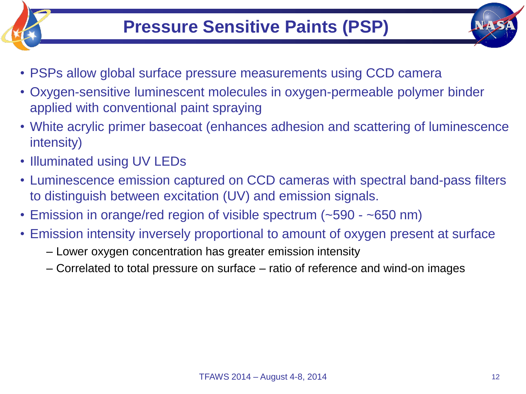

- PSPs allow global surface pressure measurements using CCD camera
- Oxygen-sensitive luminescent molecules in oxygen-permeable polymer binder applied with conventional paint spraying
- White acrylic primer basecoat (enhances adhesion and scattering of luminescence intensity)
- Illuminated using UV LEDs
- Luminescence emission captured on CCD cameras with spectral band-pass filters to distinguish between excitation (UV) and emission signals.
- Emission in orange/red region of visible spectrum (~590 ~650 nm)
- Emission intensity inversely proportional to amount of oxygen present at surface
	- Lower oxygen concentration has greater emission intensity
	- Correlated to total pressure on surface ratio of reference and wind-on images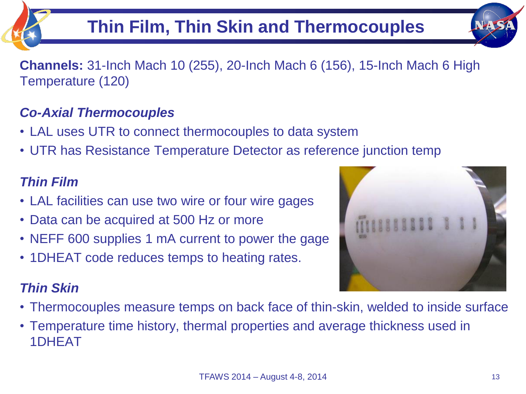

**Channels:** 31-Inch Mach 10 (255), 20-Inch Mach 6 (156), 15-Inch Mach 6 High Temperature (120)

### *Co-Axial Thermocouples*

- LAL uses UTR to connect thermocouples to data system
- UTR has Resistance Temperature Detector as reference junction temp

### *Thin Film*

- LAL facilities can use two wire or four wire gages
- Data can be acquired at 500 Hz or more
- NEFF 600 supplies 1 mA current to power the gage
- 1DHEAT code reduces temps to heating rates.

### *Thin Skin*

- Thermocouples measure temps on back face of thin-skin, welded to inside surface
- Temperature time history, thermal properties and average thickness used in 1DHEAT

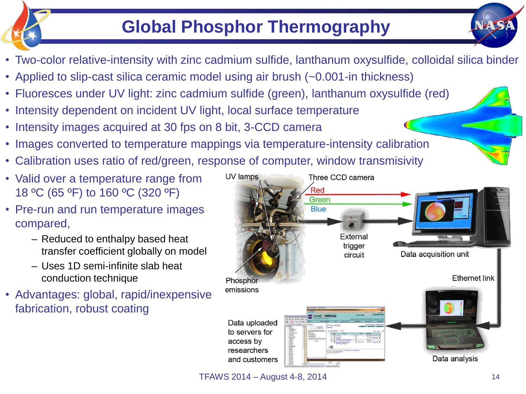# **Global Phosphor Thermography**

- Two-color relative-intensity with zinc cadmium sulfide, lanthanum oxysulfide, colloidal silica binder
- Applied to slip-cast silica ceramic model using air brush (~0.001-in thickness)
- Fluoresces under UV light: zinc cadmium sulfide (green), lanthanum oxysulfide (red)
- Intensity dependent on incident UV light, local surface temperature
- Intensity images acquired at 30 fps on 8 bit, 3-CCD camera
- Images converted to temperature mappings via temperature-intensity calibration
- Calibration uses ratio of red/green, response of computer, window transmisivity
- Valid over a temperature range from 18 ºC (65 ºF) to 160 ºC (320 ºF)
- Pre-run and run temperature images compared,
	- Reduced to enthalpy based heat transfer coefficient globally on model
	- Uses 1D semi-infinite slab heat conduction technique
- Advantages: global, rapid/inexpensive fabrication, robust coating



**TFAWS 2014 – August 4-8, 2014** 14

NH ST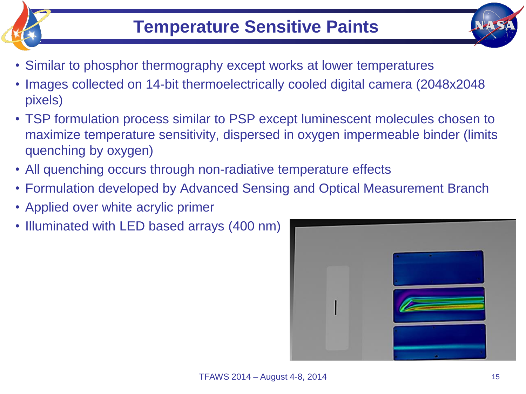

- Similar to phosphor thermography except works at lower temperatures
- Images collected on 14-bit thermoelectrically cooled digital camera (2048x2048 pixels)
- TSP formulation process similar to PSP except luminescent molecules chosen to maximize temperature sensitivity, dispersed in oxygen impermeable binder (limits quenching by oxygen)
- All quenching occurs through non-radiative temperature effects
- Formulation developed by Advanced Sensing and Optical Measurement Branch
- Applied over white acrylic primer
- Illuminated with LED based arrays (400 nm)

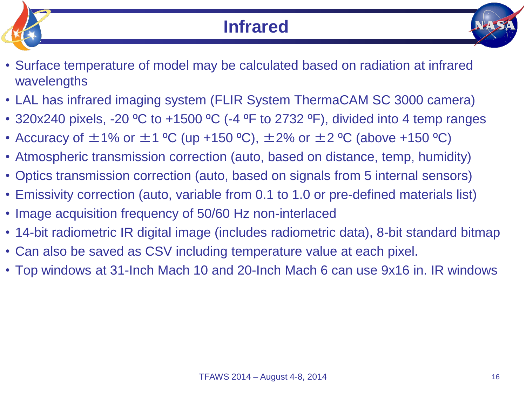



- Surface temperature of model may be calculated based on radiation at infrared wavelengths
- LAL has infrared imaging system (FLIR System ThermaCAM SC 3000 camera)
- 320x240 pixels, -20 °C to +1500 °C (-4 °F to 2732 °F), divided into 4 temp ranges
- Accuracy of  $\pm$ 1% or  $\pm$ 1 °C (up +150 °C),  $\pm$ 2% or  $\pm$ 2 °C (above +150 °C)
- Atmospheric transmission correction (auto, based on distance, temp, humidity)
- Optics transmission correction (auto, based on signals from 5 internal sensors)
- Emissivity correction (auto, variable from 0.1 to 1.0 or pre-defined materials list)
- Image acquisition frequency of 50/60 Hz non-interlaced
- 14-bit radiometric IR digital image (includes radiometric data), 8-bit standard bitmap
- Can also be saved as CSV including temperature value at each pixel.
- Top windows at 31-Inch Mach 10 and 20-Inch Mach 6 can use 9x16 in. IR windows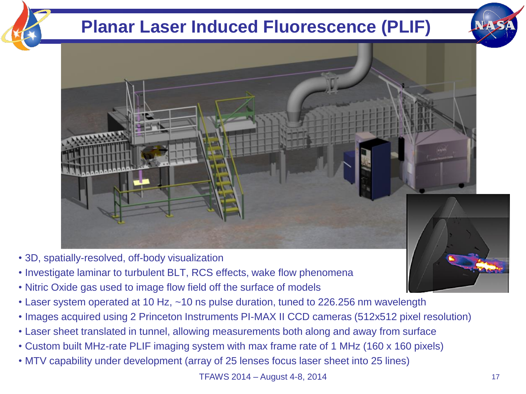# **Planar Laser Induced Fluorescence (PLIF)**





- 3D, spatially-resolved, off-body visualization
- Investigate laminar to turbulent BLT, RCS effects, wake flow phenomena
- Nitric Oxide gas used to image flow field off the surface of models
- Laser system operated at 10 Hz, ~10 ns pulse duration, tuned to 226.256 nm wavelength
- Images acquired using 2 Princeton Instruments PI-MAX II CCD cameras (512x512 pixel resolution)
- Laser sheet translated in tunnel, allowing measurements both along and away from surface
- Custom built MHz-rate PLIF imaging system with max frame rate of 1 MHz (160 x 160 pixels)
- MTV capability under development (array of 25 lenses focus laser sheet into 25 lines)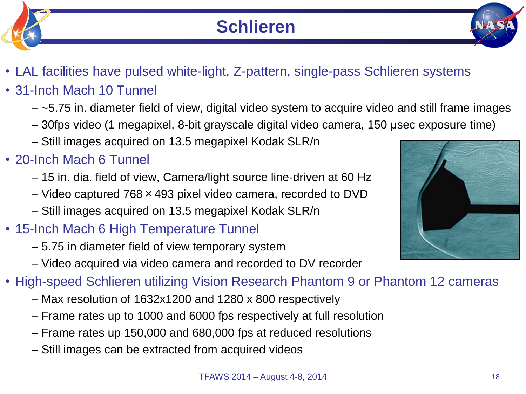

- 31-Inch Mach 10 Tunnel
	- $-$  ~5.75 in. diameter field of view, digital video system to acquire video and still frame images
	- 30fps video (1 megapixel, 8-bit grayscale digital video camera, 150 μsec exposure time)
	- Still images acquired on 13.5 megapixel Kodak SLR/n
- 20-Inch Mach 6 Tunnel
	- 15 in. dia. field of view, Camera/light source line-driven at 60 Hz
	- Video captured 768×493 pixel video camera, recorded to DVD
	- Still images acquired on 13.5 megapixel Kodak SLR/n
- 15-Inch Mach 6 High Temperature Tunnel
	- 5.75 in diameter field of view temporary system
	- Video acquired via video camera and recorded to DV recorder
- High-speed Schlieren utilizing Vision Research Phantom 9 or Phantom 12 cameras
	- Max resolution of 1632x1200 and 1280 x 800 respectively
	- Frame rates up to 1000 and 6000 fps respectively at full resolution
	- Frame rates up 150,000 and 680,000 fps at reduced resolutions
	- Still images can be extracted from acquired videos

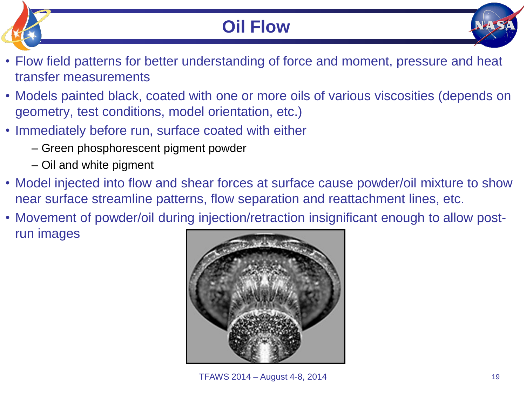# **Oil Flow**

- Flow field patterns for better understanding of force and moment, pressure and heat transfer measurements
- Models painted black, coated with one or more oils of various viscosities (depends on geometry, test conditions, model orientation, etc.)
- Immediately before run, surface coated with either
	- Green phosphorescent pigment powder
	- Oil and white pigment
- Model injected into flow and shear forces at surface cause powder/oil mixture to show near surface streamline patterns, flow separation and reattachment lines, etc.
- Movement of powder/oil during injection/retraction insignificant enough to allow postrun images

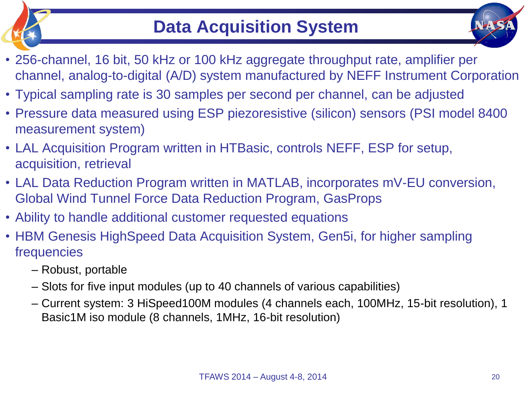



- 256-channel, 16 bit, 50 kHz or 100 kHz aggregate throughput rate, amplifier per channel, analog-to-digital (A/D) system manufactured by NEFF Instrument Corporation
- Typical sampling rate is 30 samples per second per channel, can be adjusted
- Pressure data measured using ESP piezoresistive (silicon) sensors (PSI model 8400 measurement system)
- LAL Acquisition Program written in HTBasic, controls NEFF, ESP for setup, acquisition, retrieval
- LAL Data Reduction Program written in MATLAB, incorporates mV-EU conversion, Global Wind Tunnel Force Data Reduction Program, GasProps
- Ability to handle additional customer requested equations
- HBM Genesis HighSpeed Data Acquisition System, Gen5i, for higher sampling frequencies
	- Robust, portable
	- Slots for five input modules (up to 40 channels of various capabilities)
	- Current system: 3 HiSpeed100M modules (4 channels each, 100MHz, 15-bit resolution), 1 Basic1M iso module (8 channels, 1MHz, 16-bit resolution)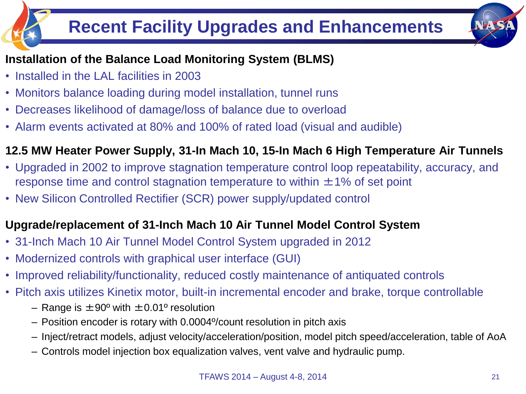# **Recent Facility Upgrades and Enhancements**



### **Installation of the Balance Load Monitoring System (BLMS)**

- Installed in the LAL facilities in 2003
- Monitors balance loading during model installation, tunnel runs
- Decreases likelihood of damage/loss of balance due to overload
- Alarm events activated at 80% and 100% of rated load (visual and audible)

### **12.5 MW Heater Power Supply, 31-In Mach 10, 15-In Mach 6 High Temperature Air Tunnels**

- Upgraded in 2002 to improve stagnation temperature control loop repeatability, accuracy, and response time and control stagnation temperature to within  $\pm 1\%$  of set point
- New Silicon Controlled Rectifier (SCR) power supply/updated control

### **Upgrade/replacement of 31-Inch Mach 10 Air Tunnel Model Control System**

- 31-Inch Mach 10 Air Tunnel Model Control System upgraded in 2012
- Modernized controls with graphical user interface (GUI)
- Improved reliability/functionality, reduced costly maintenance of antiquated controls
- Pitch axis utilizes Kinetix motor, built-in incremental encoder and brake, torque controllable
	- Range is  $\pm 90^{\circ}$  with  $\pm 0.01^{\circ}$  resolution
	- Position encoder is rotary with 0.0004º/count resolution in pitch axis
	- Inject/retract models, adjust velocity/acceleration/position, model pitch speed/acceleration, table of AoA
	- Controls model injection box equalization valves, vent valve and hydraulic pump.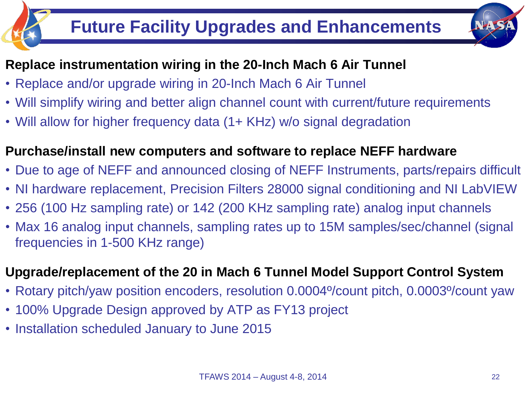# **Future Facility Upgrades and Enhancements**



### **Replace instrumentation wiring in the 20-Inch Mach 6 Air Tunnel**

- Replace and/or upgrade wiring in 20-Inch Mach 6 Air Tunnel
- Will simplify wiring and better align channel count with current/future requirements
- Will allow for higher frequency data (1+ KHz) w/o signal degradation

### **Purchase/install new computers and software to replace NEFF hardware**

- Due to age of NEFF and announced closing of NEFF Instruments, parts/repairs difficult
- NI hardware replacement, Precision Filters 28000 signal conditioning and NI LabVIEW
- 256 (100 Hz sampling rate) or 142 (200 KHz sampling rate) analog input channels
- Max 16 analog input channels, sampling rates up to 15M samples/sec/channel (signal frequencies in 1-500 KHz range)

### **Upgrade/replacement of the 20 in Mach 6 Tunnel Model Support Control System**

- Rotary pitch/yaw position encoders, resolution 0.0004º/count pitch, 0.0003º/count yaw
- 100% Upgrade Design approved by ATP as FY13 project
- Installation scheduled January to June 2015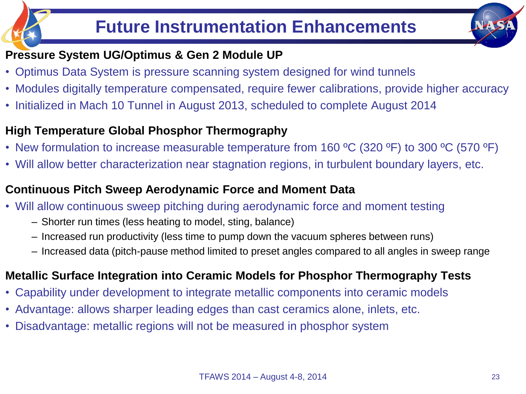### **Pressure System UG/Optimus & Gen 2 Module UP**

- Optimus Data System is pressure scanning system designed for wind tunnels
- Modules digitally temperature compensated, require fewer calibrations, provide higher accuracy
- Initialized in Mach 10 Tunnel in August 2013, scheduled to complete August 2014

### **High Temperature Global Phosphor Thermography**

- New formulation to increase measurable temperature from 160 °C (320 °F) to 300 °C (570 °F)
- Will allow better characterization near stagnation regions, in turbulent boundary layers, etc.

### **Continuous Pitch Sweep Aerodynamic Force and Moment Data**

- Will allow continuous sweep pitching during aerodynamic force and moment testing
	- Shorter run times (less heating to model, sting, balance)
	- Increased run productivity (less time to pump down the vacuum spheres between runs)
	- Increased data (pitch-pause method limited to preset angles compared to all angles in sweep range

### **Metallic Surface Integration into Ceramic Models for Phosphor Thermography Tests**

- Capability under development to integrate metallic components into ceramic models
- Advantage: allows sharper leading edges than cast ceramics alone, inlets, etc.
- Disadvantage: metallic regions will not be measured in phosphor system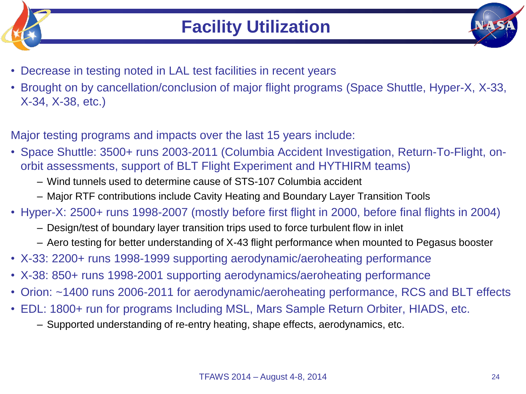



- Decrease in testing noted in LAL test facilities in recent years
- Brought on by cancellation/conclusion of major flight programs (Space Shuttle, Hyper-X, X-33, X-34, X-38, etc.)
- Major testing programs and impacts over the last 15 years include:
- Space Shuttle: 3500+ runs 2003-2011 (Columbia Accident Investigation, Return-To-Flight, onorbit assessments, support of BLT Flight Experiment and HYTHIRM teams)
	- Wind tunnels used to determine cause of STS-107 Columbia accident
	- Major RTF contributions include Cavity Heating and Boundary Layer Transition Tools
- Hyper-X: 2500+ runs 1998-2007 (mostly before first flight in 2000, before final flights in 2004)
	- Design/test of boundary layer transition trips used to force turbulent flow in inlet
	- Aero testing for better understanding of X-43 flight performance when mounted to Pegasus booster
- X-33: 2200+ runs 1998-1999 supporting aerodynamic/aeroheating performance
- X-38: 850+ runs 1998-2001 supporting aerodynamics/aeroheating performance
- Orion: ~1400 runs 2006-2011 for aerodynamic/aeroheating performance, RCS and BLT effects
- EDL: 1800+ run for programs Including MSL, Mars Sample Return Orbiter, HIADS, etc.
	- Supported understanding of re-entry heating, shape effects, aerodynamics, etc.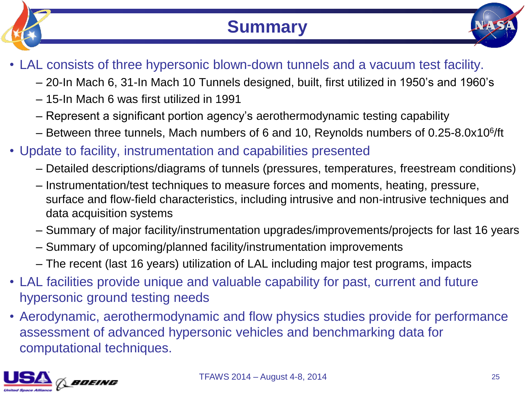

# **Summary**



- LAL consists of three hypersonic blown-down tunnels and a vacuum test facility.
	- 20-In Mach 6, 31-In Mach 10 Tunnels designed, built, first utilized in 1950's and 1960's
	- 15-In Mach 6 was first utilized in 1991
	- Represent a significant portion agency's aerothermodynamic testing capability
	- Between three tunnels, Mach numbers of 6 and 10, Reynolds numbers of 0.25-8.0x10<sup>6</sup>/ft
- Update to facility, instrumentation and capabilities presented
	- Detailed descriptions/diagrams of tunnels (pressures, temperatures, freestream conditions)
	- Instrumentation/test techniques to measure forces and moments, heating, pressure, surface and flow-field characteristics, including intrusive and non-intrusive techniques and data acquisition systems
	- Summary of major facility/instrumentation upgrades/improvements/projects for last 16 years
	- Summary of upcoming/planned facility/instrumentation improvements
	- The recent (last 16 years) utilization of LAL including major test programs, impacts
- LAL facilities provide unique and valuable capability for past, current and future hypersonic ground testing needs
- Aerodynamic, aerothermodynamic and flow physics studies provide for performance assessment of advanced hypersonic vehicles and benchmarking data for computational techniques.

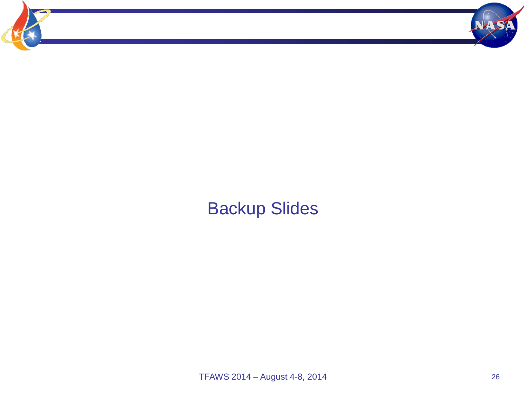

# Backup Slides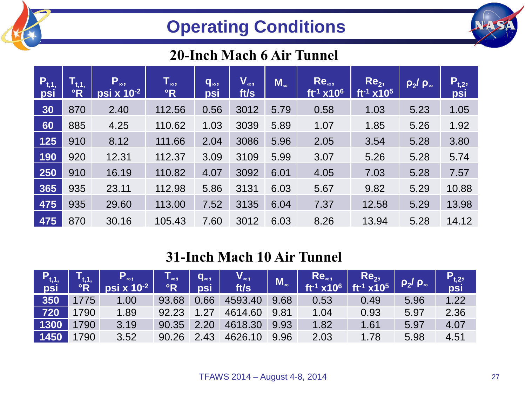# **Operating Conditions**

### **20-Inch Mach 6 Air Tunnel**

| $P_{t,1}$<br>psi | $\mathsf{T}_{\mathfrak{t},\mathfrak{1},\mathfrak{l}}$<br>$\overline{\ }$ <sub>°R</sub> | $P_{\infty}$<br>psi x 10 <sup>-2</sup> | $T_{\infty}$<br>$\mathbf{R}$ | $q_{\infty}$<br>psi | $V_{\infty}$<br>ft/s | $M_{\infty}$ | $Re_{\infty}$<br>$ft^{-1}$ x10 <sup>6</sup> | Re <sub>2</sub><br>$ft^{-1}$ x10 <sup>5</sup> | $\rho_2/\rho_\infty$ | $P_{t,2}$<br>psi |
|------------------|----------------------------------------------------------------------------------------|----------------------------------------|------------------------------|---------------------|----------------------|--------------|---------------------------------------------|-----------------------------------------------|----------------------|------------------|
| 30               | 870                                                                                    | 2.40                                   | 112.56                       | 0.56                | 3012                 | 5.79         | 0.58                                        | 1.03                                          | 5.23                 | 1.05             |
| 60               | 885                                                                                    | 4.25                                   | 110.62                       | 1.03                | 3039                 | 5.89         | 1.07                                        | 1.85                                          | 5.26                 | 1.92             |
| <b>125</b>       | 910                                                                                    | 8.12                                   | 111.66                       | 2.04                | 3086                 | 5.96         | 2.05                                        | 3.54                                          | 5.28                 | 3.80             |
| 190              | 920                                                                                    | 12.31                                  | 112.37                       | 3.09                | 3109                 | 5.99         | 3.07                                        | 5.26                                          | 5.28                 | 5.74             |
| 250              | 910                                                                                    | 16.19                                  | 110.82                       | 4.07                | 3092                 | 6.01         | 4.05                                        | 7.03                                          | 5.28                 | 7.57             |
| 365              | 935                                                                                    | 23.11                                  | 112.98                       | 5.86                | 3131                 | 6.03         | 5.67                                        | 9.82                                          | 5.29                 | 10.88            |
| 475              | 935                                                                                    | 29.60                                  | 113.00                       | 7.52                | 3135                 | 6.04         | 7.37                                        | 12.58                                         | 5.29                 | 13.98            |
| 475              | 870                                                                                    | 30.16                                  | 105.43                       | 7.60                | 3012                 | 6.03         | 8.26                                        | 13.94                                         | 5.28                 | 14.12            |

### **31-Inch Mach 10 Air Tunnel**

| $P_{t,1}$ | $\mathsf{T}_{\mathsf{t},\mathsf{1},\mathsf{1}}$<br>°R | $P_{\infty}$<br>psi x 10 <sup>-2</sup> | $\mathsf{T}_{\scriptscriptstyle \infty} , \mathsf{T}$<br>$\mathsf{P}$ | $q_{\infty}$<br>psi | $V_{\infty}$<br>ft/s | $\mathbf{M}_{\infty}$ | $\begin{bmatrix} \text{Re}_{\infty} \\ \text{ft}^{-1} \times 10^6 \end{bmatrix}$ | $\begin{array}{ l } \quad \textsf{Re}_\textsf{2}\textsf{,} \ \textsf{f}\textsf{t}^{\textsf{-1}}\textsf{x} \textsf{1}\textsf{0}^\textsf{5} \end{array}$ | $\rho_2/\rho_*$ | $P_{t,2}$<br>psi |
|-----------|-------------------------------------------------------|----------------------------------------|-----------------------------------------------------------------------|---------------------|----------------------|-----------------------|----------------------------------------------------------------------------------|--------------------------------------------------------------------------------------------------------------------------------------------------------|-----------------|------------------|
| 350       | 1775                                                  | 1.00                                   | 93.68                                                                 | 0.66                | 4593.40              | 9.68                  | 0.53                                                                             | 0.49                                                                                                                                                   | 5.96            | 1.22             |
| 720       | 1790                                                  | 1.89                                   | 92.23                                                                 | 1.27                | 4614.60              | 9.81                  | 1.04                                                                             | 0.93                                                                                                                                                   | 5.97            | 2.36             |
| 1300      | 1790                                                  | 3.19                                   | 90.35                                                                 | 2.20                | 4618.30              | 9.93                  | 1.82                                                                             | 1.61                                                                                                                                                   | 5.97            | 4.07             |
| 1450      | 1790                                                  | 3.52                                   | 90.26                                                                 | 2.43                | 4626.10              | 9.96                  | 2.03                                                                             | 1.78                                                                                                                                                   | 5.98            | 4.51             |

**NASS**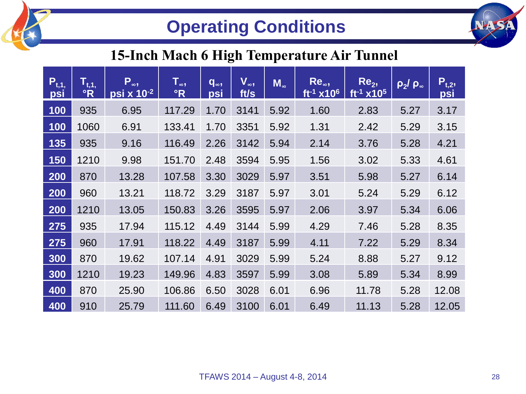

# **Operating Conditions**



### **15-Inch Mach 6 High Temperature Air Tunnel**

| $P_{t,1}$<br>psi | $\overline{\mathsf{T}_{\mathsf{t},\mathsf{1},}}$<br>$\mathbf{R}$ | $P_{\infty}$<br>psi x 10-2 | $\mathsf{T}_{\infty}$ ,<br>$\mathsf{P}$ | $q_{\infty}$<br>psi | $V_{\infty}$<br>ft/s | $M_{\infty}$ | Re.,<br>$ft^{-1}$ x10 <sup>6</sup> | Re <sub>2</sub><br>$ft^{-1}$ x10 <sup>5</sup> | $\rho_2$ / $\rho_{\infty}$ | $P_{t,2}$<br>psi |
|------------------|------------------------------------------------------------------|----------------------------|-----------------------------------------|---------------------|----------------------|--------------|------------------------------------|-----------------------------------------------|----------------------------|------------------|
| 100              | 935                                                              | 6.95                       | 117.29                                  | 1.70                | 3141                 | 5.92         | 1.60                               | 2.83                                          | 5.27                       | 3.17             |
| 100              | 1060                                                             | 6.91                       | 133.41                                  | 1.70                | 3351                 | 5.92         | 1.31                               | 2.42                                          | 5.29                       | 3.15             |
| 135              | 935                                                              | 9.16                       | 116.49                                  | 2.26                | 3142                 | 5.94         | 2.14                               | 3.76                                          | 5.28                       | 4.21             |
| 150              | 1210                                                             | 9.98                       | 151.70                                  | 2.48                | 3594                 | 5.95         | 1.56                               | 3.02                                          | 5.33                       | 4.61             |
| 200              | 870                                                              | 13.28                      | 107.58                                  | 3.30                | 3029                 | 5.97         | 3.51                               | 5.98                                          | 5.27                       | 6.14             |
| 200              | 960                                                              | 13.21                      | 118.72                                  | 3.29                | 3187                 | 5.97         | 3.01                               | 5.24                                          | 5.29                       | 6.12             |
| 200              | 1210                                                             | 13.05                      | 150.83                                  | 3.26                | 3595                 | 5.97         | 2.06                               | 3.97                                          | 5.34                       | 6.06             |
| 275              | 935                                                              | 17.94                      | 115.12                                  | 4.49                | 3144                 | 5.99         | 4.29                               | 7.46                                          | 5.28                       | 8.35             |
| 275              | 960                                                              | 17.91                      | 118.22                                  | 4.49                | 3187                 | 5.99         | 4.11                               | 7.22                                          | 5.29                       | 8.34             |
| 300              | 870                                                              | 19.62                      | 107.14                                  | 4.91                | 3029                 | 5.99         | 5.24                               | 8.88                                          | 5.27                       | 9.12             |
| 300              | 1210                                                             | 19.23                      | 149.96                                  | 4.83                | 3597                 | 5.99         | 3.08                               | 5.89                                          | 5.34                       | 8.99             |
| 400              | 870                                                              | 25.90                      | 106.86                                  | 6.50                | 3028                 | 6.01         | 6.96                               | 11.78                                         | 5.28                       | 12.08            |
| 400              | 910                                                              | 25.79                      | 111.60                                  | 6.49                | 3100                 | 6.01         | 6.49                               | 11.13                                         | 5.28                       | 12.05            |